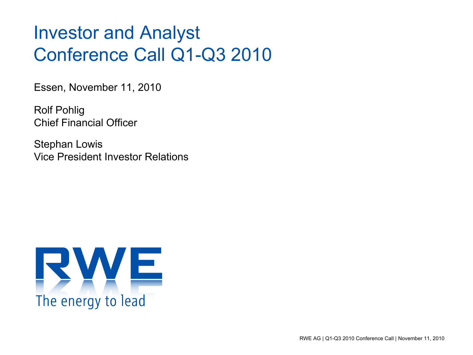# Investor and Analyst Conference Call Q1-Q3 2010

Essen, November 11, 2010

Rolf Pohlig Chief Financial Officer

Stephan Lowis Vice President Investor Relations

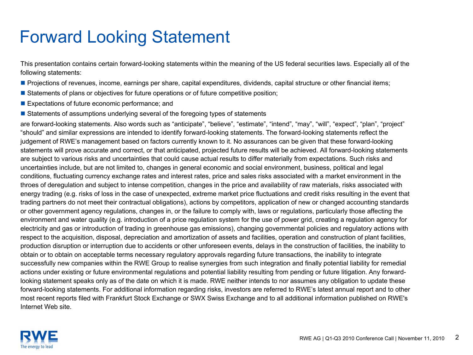### Forward Looking Statement

This presentation contains certain forward-looking statements within the meaning of the US federal securities laws. Especially all of the following statements:

- Projections of revenues, income, earnings per share, capital expenditures, dividends, capital structure or other financial items;
- **Statements of plans or objectives for future operations or of future competitive position;**
- **Expectations of future economic performance; and**
- **Statements of assumptions underlying several of the foregoing types of statements**

are forward-looking statements. Also words such as "anticipate", "believe", "estimate", "intend", "may", "will", "expect", "plan", "project" "should" and similar expressions are intended to identify forward-looking statements. The forward-looking statements reflect the judgement of RWE's management based on factors currently known to it. No assurances can be given that these forward-looking statements will prove accurate and correct, or that anticipated, projected future results will be achieved. All forward-looking statements are subject to various risks and uncertainties that could cause actual results to differ materially from expectations. Such risks and uncertainties include, but are not limited to, changes in general economic and social environment, business, political and legal conditions, fluctuating currency exchange rates and interest rates, price and sales risks associated with a market environment in the throes of deregulation and subject to intense competition, changes in the price and availability of raw materials, risks associated with energy trading (e.g. risks of loss in the case of unexpected, extreme market price fluctuations and credit risks resulting in the event that trading partners do not meet their contractual obligations), actions by competitors, application of new or changed accounting standards or other government agency regulations, changes in, or the failure to comply with, laws or regulations, particularly those affecting the environment and water quality (e.g. introduction of a price regulation system for the use of power grid, creating a regulation agency for electricity and gas or introduction of trading in greenhouse gas emissions), changing governmental policies and regulatory actions with respect to the acquisition, disposal, depreciation and amortization of assets and facilities, operation and construction of plant facilities, production disruption or interruption due to accidents or other unforeseen events, delays in the construction of facilities, the inability to obtain or to obtain on acceptable terms necessary regulatory approvals regarding future transactions, the inability to integrate successfully new companies within the RWE Group to realise synergies from such integration and finally potential liability for remedial actions under existing or future environmental regulations and potential liability resulting from pending or future litigation. Any forwardlooking statement speaks only as of the date on which it is made. RWE neither intends to nor assumes any obligation to update these forward-looking statements. For additional information regarding risks, investors are referred to RWE's latest annual report and to other most recent reports filed with Frankfurt Stock Exchange or SWX Swiss Exchange and to all additional information published on RWE's Internet Web site.

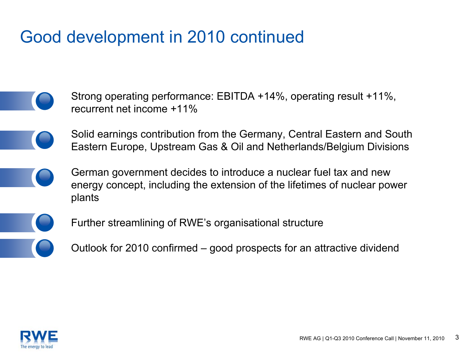### Good development in 2010 continued

- Strong operating performance: EBITDA +14%, operating result +11%, recurrent net income +11%
	- Solid earnings contribution from the Germany, Central Eastern and South Eastern Europe, Upstream Gas & Oil and Netherlands/Belgium Divisions
	- German government decides to introduce a nuclear fuel tax and new energy concept, including the extension of the lifetimes of nuclear power plants
- 
- Further streamlining of RWE's organisational structure
- Outlook for 2010 confirmed good prospects for an attractive dividend

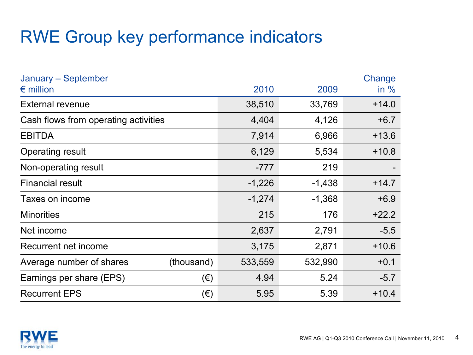### RWE Group key performance indicators

| January – September<br>$\epsilon$ million |            | 2010     | 2009     | Change<br>in $%$ |
|-------------------------------------------|------------|----------|----------|------------------|
| <b>External revenue</b>                   |            | 38,510   | 33,769   | $+14.0$          |
| Cash flows from operating activities      |            | 4,404    | 4,126    | $+6.7$           |
| <b>EBITDA</b>                             |            | 7,914    | 6,966    | $+13.6$          |
| <b>Operating result</b>                   |            | 6,129    | 5,534    | $+10.8$          |
| Non-operating result                      |            | $-777$   | 219      |                  |
| <b>Financial result</b>                   |            | $-1,226$ | $-1,438$ | $+14.7$          |
| Taxes on income                           |            | $-1,274$ | $-1,368$ | $+6.9$           |
| <b>Minorities</b>                         |            | 215      | 176      | $+22.2$          |
| Net income                                |            | 2,637    | 2,791    | $-5.5$           |
| Recurrent net income                      |            | 3,175    | 2,871    | $+10.6$          |
| Average number of shares                  | (thousand) | 533,559  | 532,990  | $+0.1$           |
| Earnings per share (EPS)                  | $(\in)$    | 4.94     | 5.24     | $-5.7$           |
| <b>Recurrent EPS</b>                      | $(\in)$    | 5.95     | 5.39     | $+10.4$          |

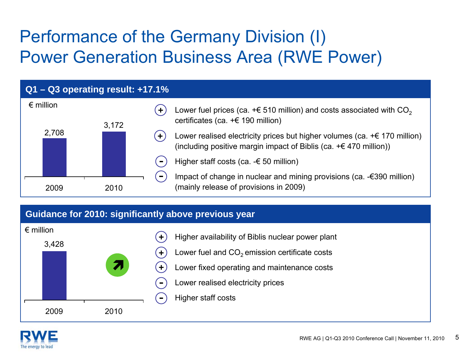# Performance of the Germany Division (I) Power Generation Business Area (RWE Power)



#### **Guidance for 2010: significantly above previous year**



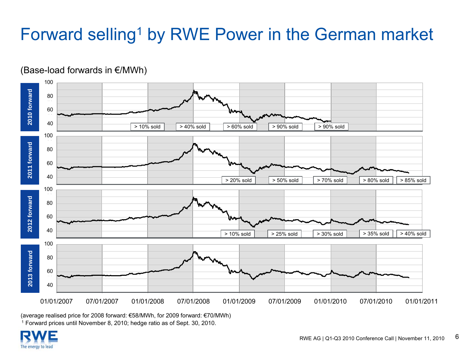# Forward selling<sup>1</sup> by RWE Power in the German market



(Base-load forwards in €/MWh)

(average realised price for 2008 forward: €58/MWh, for 2009 forward: €70/MWh) 1 Forward prices until November 8, 2010; hedge ratio as of Sept. 30, 2010.

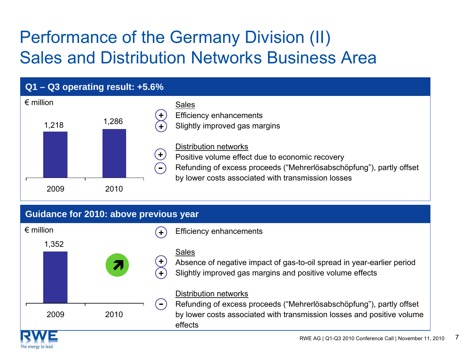# Performance of the Germany Division (II) Sales and Distribution Networks Business Area



#### **Guidance for 2010: above previous year**

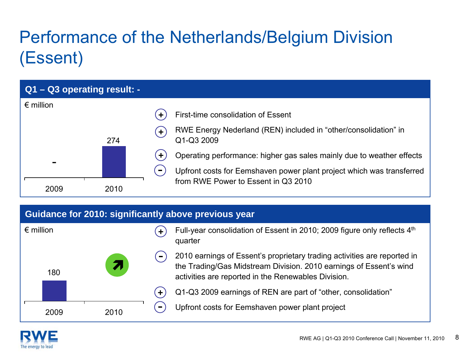# Performance of the Netherlands/Belgium Division (Essent)

| $Q1 - Q3$ operating result: - |      |                                                                                                                                                                                          |
|-------------------------------|------|------------------------------------------------------------------------------------------------------------------------------------------------------------------------------------------|
| $\epsilon$ million            |      | First-time consolidation of Essent                                                                                                                                                       |
|                               | 274  | RWE Energy Nederland (REN) included in "other/consolidation" in<br>$\pm$<br>Q1-Q3 2009                                                                                                   |
| -                             |      | Operating performance: higher gas sales mainly due to weather effects<br>$\ddot{\phantom{1}}$<br>Upfront costs for Eemshaven power plant project which was transferred<br>$\blacksquare$ |
| 2009                          | 2010 | from RWE Power to Essent in Q3 2010                                                                                                                                                      |

#### **Guidance for 2010: significantly above previous year**

| $\epsilon$ million |      |      |                        | Full-year consolidation of Essent in 2010; 2009 figure only reflects 4th<br>quarter                                                                                                                   |
|--------------------|------|------|------------------------|-------------------------------------------------------------------------------------------------------------------------------------------------------------------------------------------------------|
|                    | 180  |      | $\blacksquare$         | 2010 earnings of Essent's proprietary trading activities are reported in<br>the Trading/Gas Midstream Division. 2010 earnings of Essent's wind<br>activities are reported in the Renewables Division. |
|                    |      |      | $\left( \cdot \right)$ | Q1-Q3 2009 earnings of REN are part of "other, consolidation"                                                                                                                                         |
|                    | 2009 | 2010 | $\blacksquare$         | Upfront costs for Eemshaven power plant project                                                                                                                                                       |

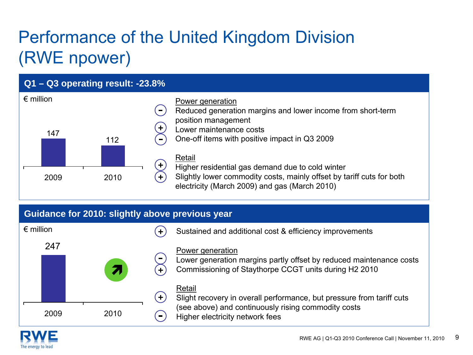# Performance of the United Kingdom Division (RWE npower)





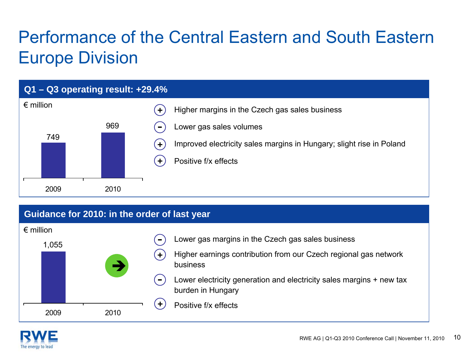# Performance of the Central Eastern and South Eastern Europe Division



#### **Guidance for 2010: in the order of last year**



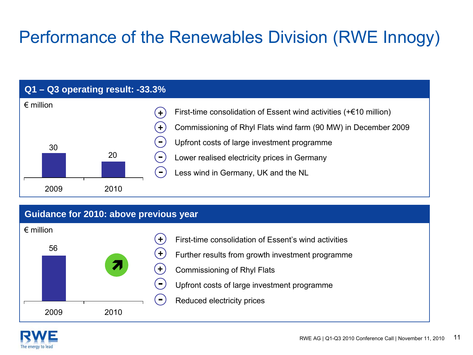# Performance of the Renewables Division (RWE Innogy)



#### **Guidance for 2010: above previous year**



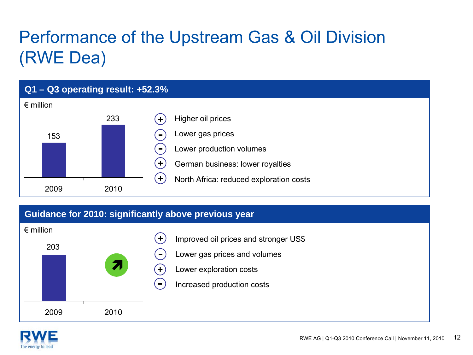# Performance of the Upstream Gas & Oil Division (RWE Dea)



#### **Guidance for 2010: significantly above previous year**



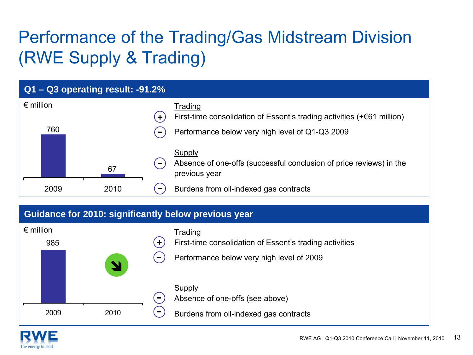# Performance of the Trading/Gas Midstream Division (RWE Supply & Trading)



#### **Guidance for 2010: significantly below previous year**



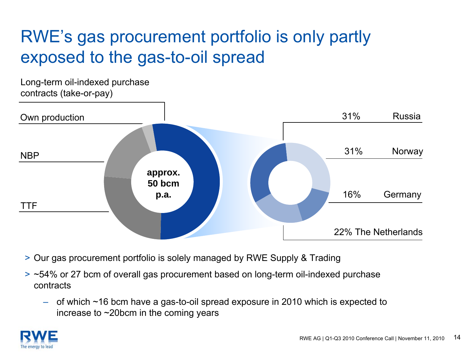### RWE's gas procurement portfolio is only partly exposed to the gas-to-oil spread



- > Our gas procurement portfolio is solely managed by RWE Supply & Trading
- > ~54% or 27 bcm of overall gas procurement based on long-term oil-indexed purchase contracts
	- of which ~16 bcm have a gas-to-oil spread exposure in 2010 which is expected to increase to ~20bcm in the coming years

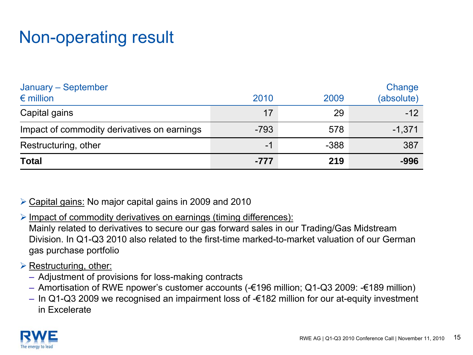### Non-operating result

| January - September<br>$\epsilon$ million   | 2010   | 2009   | Change<br>(absolute) |
|---------------------------------------------|--------|--------|----------------------|
| Capital gains                               | 17     | 29     | $-12$                |
| Impact of commodity derivatives on earnings | $-793$ | 578    | $-1,371$             |
| Restructuring, other                        | $-1$   | $-388$ | 387                  |
| <b>Total</b>                                | $-777$ | 219    | $-996$               |

¾ Capital gains: No major capital gains in 2009 and 2010

¾ Impact of commodity derivatives on earnings (timing differences): Mainly related to derivatives to secure our gas forward sales in our Trading/Gas Midstream Division. In Q1-Q3 2010 also related to the first-time marked-to-market valuation of our German gas purchase portfolio

#### **≻ Restructuring, other:**

- Adjustment of provisions for loss-making contracts
- Amortisation of RWE npower's customer accounts (-€196 million; Q1-Q3 2009: -€189 million)
- In Q1-Q3 2009 we recognised an impairment loss of -€182 million for our at-equity investment in Excelerate

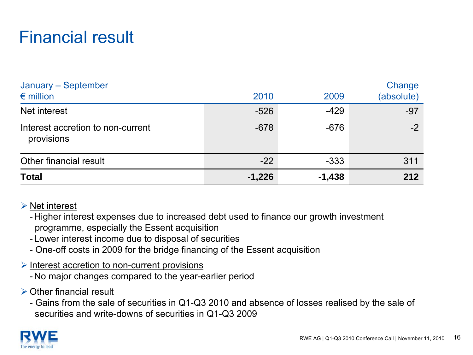### Financial result

| January - September<br>$\epsilon$ million       | 2010     | 2009     | Change<br>(absolute) |
|-------------------------------------------------|----------|----------|----------------------|
| Net interest                                    | $-526$   | $-429$   | $-97$                |
| Interest accretion to non-current<br>provisions | $-678$   | $-676$   | $-2$                 |
| Other financial result                          | $-22$    | $-333$   | 311                  |
| <b>Total</b>                                    | $-1,226$ | $-1,438$ | 212                  |

#### $\triangleright$  Net interest

- Higher interest expenses due to increased debt used to finance our growth investment programme, especially the Essent acquisition

- Lower interest income due to disposal of securities
- One-off costs in 2009 for the bridge financing of the Essent acquisition
- ¾ Interest accretion to non-current provisions
	- No major changes compared to the year-earlier period
- $\triangleright$  Other financial result

- Gains from the sale of securities in Q1-Q3 2010 and absence of losses realised by the sale of securities and write-downs of securities in Q1-Q3 2009

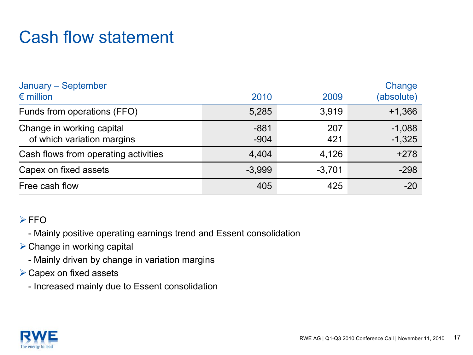### Cash flow statement

| January - September<br>$\epsilon$ million               | 2010             | 2009       | Change<br>(absolute) |
|---------------------------------------------------------|------------------|------------|----------------------|
| Funds from operations (FFO)                             | 5,285            | 3.919      | $+1,366$             |
| Change in working capital<br>of which variation margins | $-881$<br>$-904$ | 207<br>421 | $-1,088$<br>$-1,325$ |
| Cash flows from operating activities                    | 4,404            | 4,126      | $+278$               |
| Capex on fixed assets                                   | $-3,999$         | $-3,701$   | $-298$               |
| Free cash flow                                          | 405              | 425        | $-20$                |

#### ¾FFO

- Mainly positive operating earnings trend and Essent consolidation

- $\triangleright$  Change in working capital
	- Mainly driven by change in variation margins
- $\triangleright$  Capex on fixed assets
	- Increased mainly due to Essent consolidation

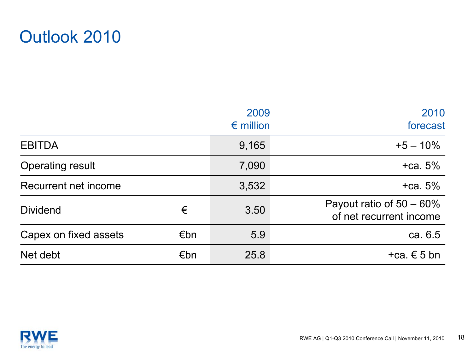

|                         |     | 2009               | 2010                                                   |
|-------------------------|-----|--------------------|--------------------------------------------------------|
|                         |     | $\epsilon$ million | forecast                                               |
| <b>EBITDA</b>           |     | 9,165              | $+5 - 10%$                                             |
| <b>Operating result</b> |     | 7,090              | $+ca.5%$                                               |
| Recurrent net income    |     | 3,532              | $+ca.5%$                                               |
| <b>Dividend</b>         | €   | 3.50               | Payout ratio of $50 - 60\%$<br>of net recurrent income |
| Capex on fixed assets   | €bn | 5.9                | ca. 6.5                                                |
| Net debt                | €bn | 25.8               | $+ca. \in 5$ bn                                        |

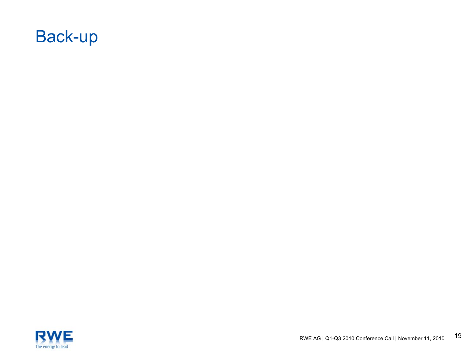

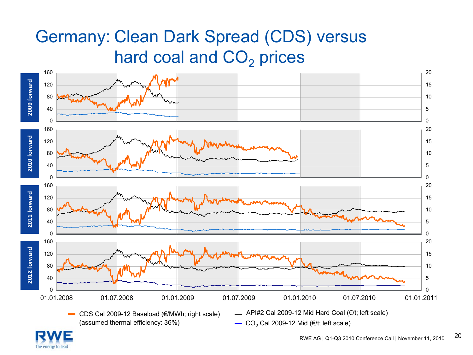### Germany: Clean Dark Spread (CDS) versus hard coal and  $\mathsf{CO}_2$  prices



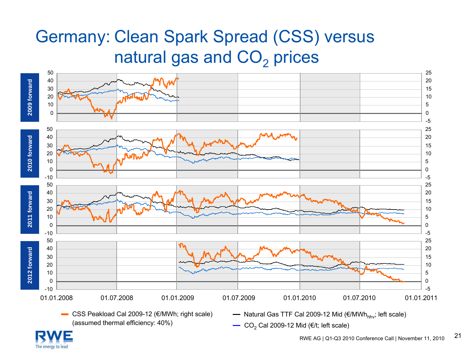### Germany: Clean Spark Spread (CSS) versus natural gas and  $\mathsf{CO}_2$  prices



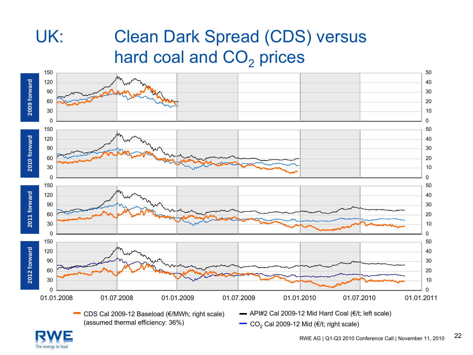# UK: Clean Dark Spread (CDS) versus hard coal and  $\mathsf{CO}_2$  prices



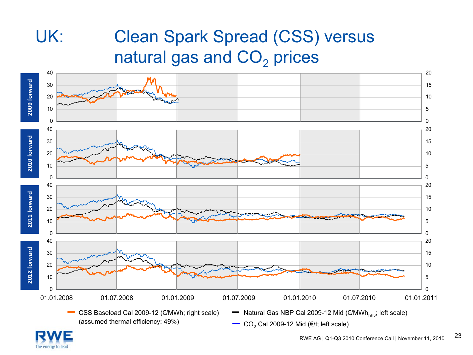# UK: Clean Spark Spread (CSS) versus natural gas and  $\mathsf{CO}_2$  prices



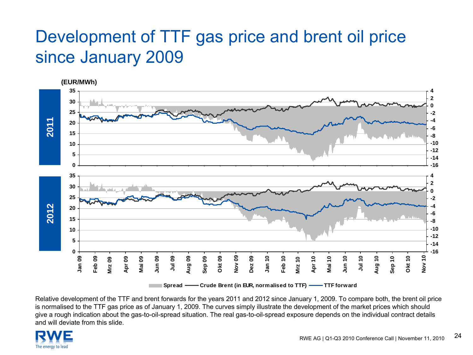### Development of TTF gas price and brent oil price since January 2009



Relative development of the TTF and brent forwards for the years 2011 and 2012 since January 1, 2009. To compare both, the brent oil price is normalised to the TTF gas price as of January 1, 2009. The curves simply illustrate the development of the market prices which should give a rough indication about the gas-to-oil-spread situation. The real gas-to-oil-spread exposure depends on the individual contract details and will deviate from this slide.

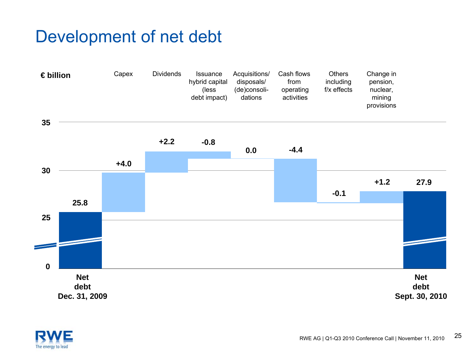### Development of net debt





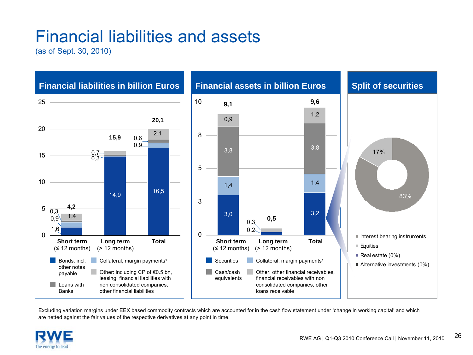### Financial liabilities and assets

(as of Sept. 30, 2010)



1 Excluding variation margins under EEX based commodity contracts which are accounted for in the cash flow statement under 'change in working capital' and which are netted against the fair values of the respective derivatives at any point in time.

![](_page_25_Picture_4.jpeg)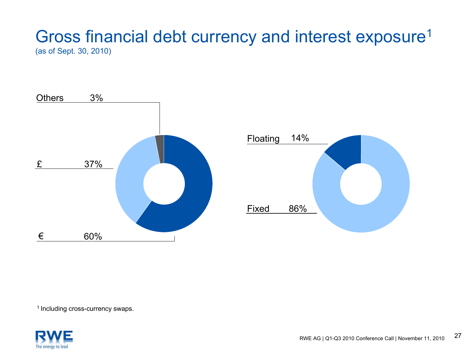### Gross financial debt currency and interest exposure<sup>1</sup> (as of Sept. 30, 2010)

![](_page_26_Figure_1.jpeg)

![](_page_26_Figure_2.jpeg)

<sup>1</sup> Including cross-currency swaps.

![](_page_26_Picture_4.jpeg)